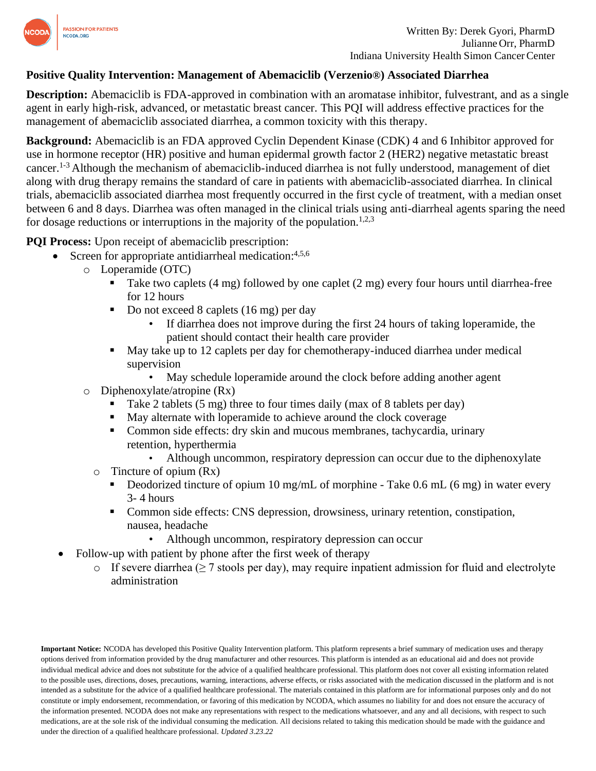

## **Positive Quality Intervention: Management of Abemaciclib (Verzenio®) Associated Diarrhea**

**Description:** Abemaciclib is FDA-approved in combination with an aromatase inhibitor, fulvestrant, and as a single agent in early high-risk, advanced, or metastatic breast cancer. This PQI will address effective practices for the management of abemaciclib associated diarrhea, a common toxicity with this therapy.

**Background:** Abemaciclib is an FDA approved Cyclin Dependent Kinase (CDK) 4 and 6 Inhibitor approved for use in hormone receptor (HR) positive and human epidermal growth factor 2 (HER2) negative metastatic breast cancer.1-3 Although the mechanism of abemaciclib-induced diarrhea is not fully understood, management of diet along with drug therapy remains the standard of care in patients with abemaciclib-associated diarrhea. In clinical trials, abemaciclib associated diarrhea most frequently occurred in the first cycle of treatment, with a median onset between 6 and 8 days. Diarrhea was often managed in the clinical trials using anti-diarrheal agents sparing the need for dosage reductions or interruptions in the majority of the population.<sup>1,2,3</sup>

**PQI Process:** Upon receipt of abemaciclib prescription:

- Screen for appropriate antidiarrheal medication: 4,5,6
	- o Loperamide (OTC)
		- Take two caplets  $(4 \text{ mg})$  followed by one caplet  $(2 \text{ mg})$  every four hours until diarrhea-free for 12 hours
		- Do not exceed 8 caplets (16 mg) per day
			- If diarrhea does not improve during the first 24 hours of taking loperamide, the patient should contact their health care provider
		- May take up to 12 caplets per day for chemotherapy-induced diarrhea under medical supervision
			- May schedule loperamide around the clock before adding another agent
		- o Diphenoxylate/atropine (Rx)
			- Take 2 tablets  $(5 \text{ mg})$  three to four times daily (max of 8 tablets per day)
			- May alternate with loperamide to achieve around the clock coverage
			- Common side effects: dry skin and mucous membranes, tachycardia, urinary retention, hyperthermia
				- Although uncommon, respiratory depression can occur due to the diphenoxylate
			- $\circ$  Tincture of opium (Rx)
				- Deodorized tincture of opium 10 mg/mL of morphine Take 0.6 mL (6 mg) in water every 3- 4 hours
				- Common side effects: CNS depression, drowsiness, urinary retention, constipation, nausea, headache
					- Although uncommon, respiratory depression can occur
- Follow-up with patient by phone after the first week of therapy
	- o If severe diarrhea ( $\geq$  7 stools per day), may require inpatient admission for fluid and electrolyte administration

**Important Notice:** NCODA has developed this Positive Quality Intervention platform. This platform represents a brief summary of medication uses and therapy options derived from information provided by the drug manufacturer and other resources. This platform is intended as an educational aid and does not provide individual medical advice and does not substitute for the advice of a qualified healthcare professional. This platform does not cover all existing information related to the possible uses, directions, doses, precautions, warning, interactions, adverse effects, or risks associated with the medication discussed in the platform and is not intended as a substitute for the advice of a qualified healthcare professional. The materials contained in this platform are for informational purposes only and do not constitute or imply endorsement, recommendation, or favoring of this medication by NCODA, which assumes no liability for and does not ensure the accuracy of the information presented. NCODA does not make any representations with respect to the medications whatsoever, and any and all decisions, with respect to such medications, are at the sole risk of the individual consuming the medication. All decisions related to taking this medication should be made with the guidance and under the direction of a qualified healthcare professional. *Updated 3.23.22*